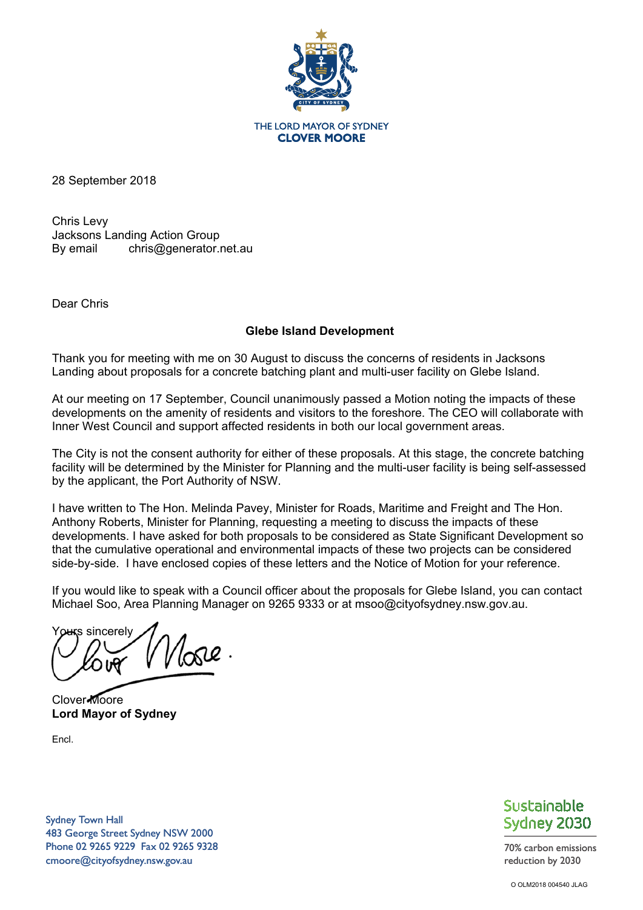

THE LORD MAYOR OF SYDNEY **CLOVER MOORE** 

28 September 2018

Chris Levy Jacksons Landing Action Group By email chris@generator.net.au

Dear Chris

# **Glebe Island Development**

Thank you for meeting with me on 30 August to discuss the concerns of residents in Jacksons Landing about proposals for a concrete batching plant and multi-user facility on Glebe Island.

At our meeting on 17 September, Council unanimously passed a Motion noting the impacts of these developments on the amenity of residents and visitors to the foreshore. The CEO will collaborate with Inner West Council and support affected residents in both our local government areas.

The City is not the consent authority for either of these proposals. At this stage, the concrete batching facility will be determined by the Minister for Planning and the multi-user facility is being self-assessed by the applicant, the Port Authority of NSW.

I have written to The Hon. Melinda Pavey, Minister for Roads, Maritime and Freight and The Hon. Anthony Roberts, Minister for Planning, requesting a meeting to discuss the impacts of these developments. I have asked for both proposals to be considered as State Significant Development so that the cumulative operational and environmental impacts of these two projects can be considered side-by-side. I have enclosed copies of these letters and the Notice of Motion for your reference.

If you would like to speak with a Council officer about the proposals for Glebe Island, you can contact Michael Soo, Area Planning Manager on 9265 9333 or at msoo@cityofsydney.nsw.gov.au.

Yours sincerely  $\sqrt{\alpha}$ 

Clover Moore **Lord Mayor of Sydney** 

Encl.

Sydney Town Hall 483 George Street Sydney NSW 2000 Phone 02 9265 9229 Fax 02 9265 9328 cmoore@cityofsydney.nsw.gov.au



70% carbon emissions reduction by 2030

O OLM2018 004540 JLAG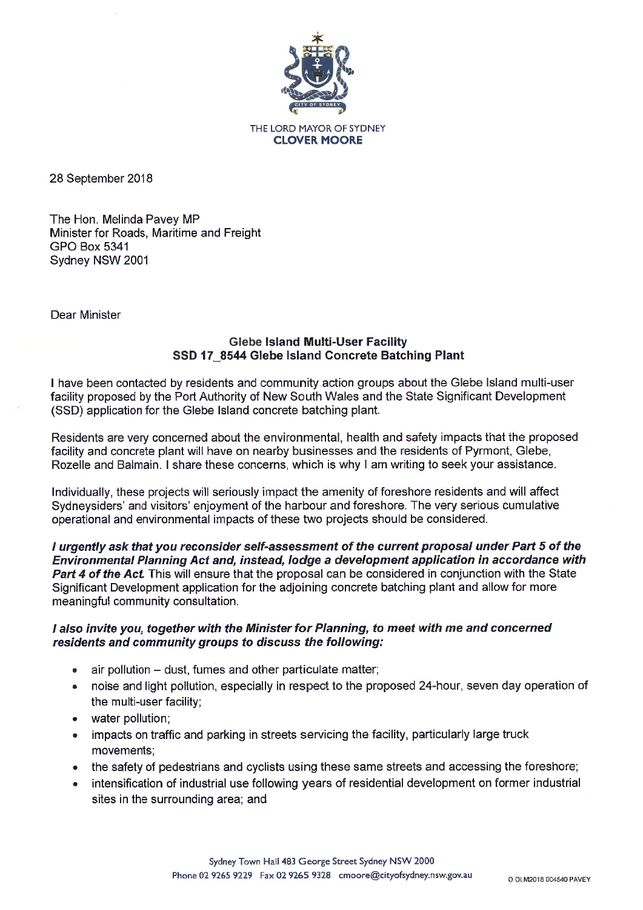

28 September 2018

The Hon. Melinda Pavey MP Minister for Roads. Maritime and Freight **GPO Box 5341** Sydney NSW 2001

Dear Minister

## **Glebe Island Multi-User Facility** SSD 17 8544 Glebe Island Concrete Batching Plant

I have been contacted by residents and community action groups about the Glebe Island multi-user facility proposed by the Port Authority of New South Wales and the State Significant Development (SSD) application for the Glebe Island concrete batching plant.

Residents are very concerned about the environmental, health and safety impacts that the proposed facility and concrete plant will have on nearby businesses and the residents of Pyrmont, Glebe, Rozelle and Balmain. I share these concerns, which is why I am writing to seek your assistance.

Individually, these projects will seriously impact the amenity of foreshore residents and will affect Sydneysiders' and visitors' enjoyment of the harbour and foreshore. The very serious cumulative operational and environmental impacts of these two projects should be considered.

I urgently ask that you reconsider self-assessment of the current proposal under Part 5 of the Environmental Planning Act and, instead, lodge a development application in accordance with Part 4 of the Act. This will ensure that the proposal can be considered in conjunction with the State Significant Development application for the adjoining concrete batching plant and allow for more meaningful community consultation.

### I also invite you, together with the Minister for Planning, to meet with me and concerned residents and community groups to discuss the following:

- air pollution dust, fumes and other particulate matter:
- noise and light pollution, especially in respect to the proposed 24-hour, seven day operation of  $\bullet$ the multi-user facility;
- water pollution:
- impacts on traffic and parking in streets servicing the facility, particularly large truck movements:
- the safety of pedestrians and cyclists using these same streets and accessing the foreshore;
- intensification of industrial use following years of residential development on former industrial  $\bullet$ sites in the surrounding area; and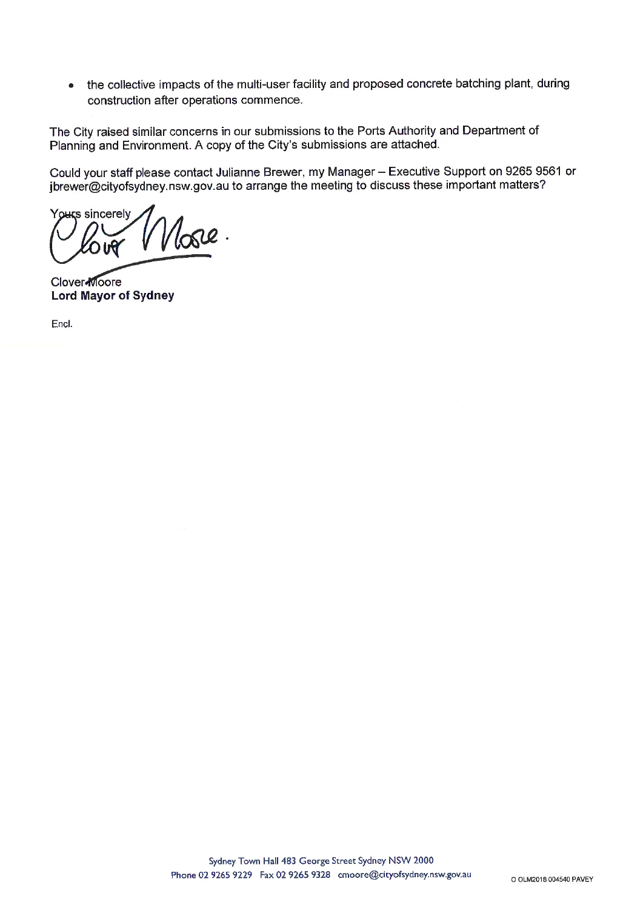the collective impacts of the multi-user facility and proposed concrete batching plant, during  $\bullet$ construction after operations commence.

The City raised similar concerns in our submissions to the Ports Authority and Department of Planning and Environment. A copy of the City's submissions are attached.

Could your staff please contact Julianne Brewer, my Manager - Executive Support on 9265 9561 or jbrewer@cityofsydney.nsw.gov.au to arrange the meeting to discuss these important matters?

Yours sincerely lose.

**Clover** Moore **Lord Mayor of Sydney** 

Encl.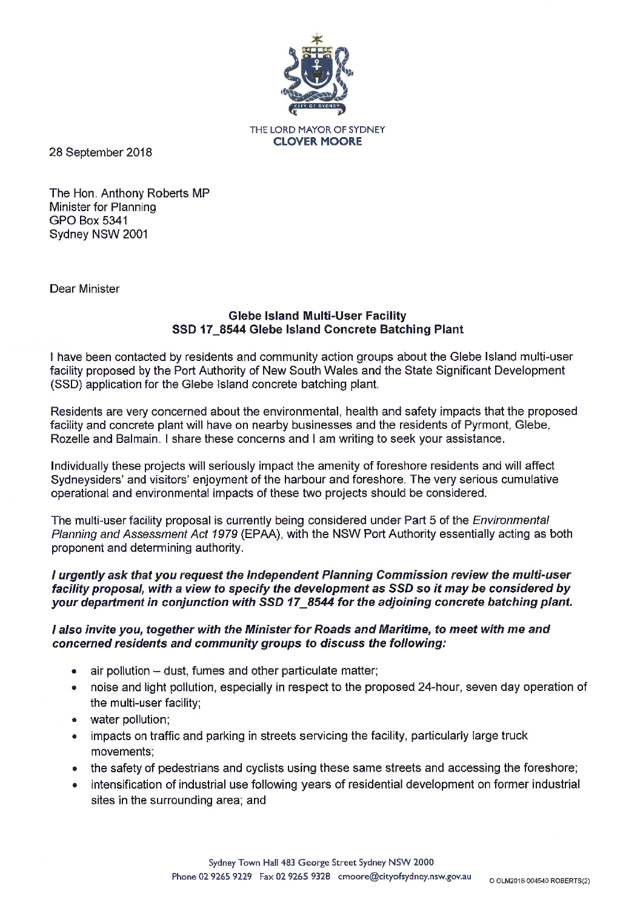

THE LORD MAYOR OF SYDNEY **CLOVER MOORE** 

28 September 2018

The Hon. Anthony Roberts MP Minister for Planning **GPO Box 5341** Sydney NSW 2001

Dear Minister

### **Glebe Island Multi-User Facility** SSD 17\_8544 Glebe Island Concrete Batching Plant

I have been contacted by residents and community action groups about the Glebe Island multi-user facility proposed by the Port Authority of New South Wales and the State Significant Development (SSD) application for the Glebe Island concrete batching plant.

Residents are very concerned about the environmental, health and safety impacts that the proposed facility and concrete plant will have on nearby businesses and the residents of Pyrmont, Glebe, Rozelle and Balmain. I share these concerns and I am writing to seek your assistance.

Individually these projects will seriously impact the amenity of foreshore residents and will affect Sydneysiders' and visitors' enjoyment of the harbour and foreshore. The very serious cumulative operational and environmental impacts of these two projects should be considered.

The multi-user facility proposal is currently being considered under Part 5 of the *Environmental* Planning and Assessment Act 1979 (EPAA), with the NSW Port Authority essentially acting as both proponent and determining authority.

#### I urgently ask that you request the Independent Planning Commission review the multi-user facility proposal, with a view to specify the development as SSD so it may be considered by your department in conjunction with SSD 17 8544 for the adjoining concrete batching plant.

### I also invite you, together with the Minister for Roads and Maritime, to meet with me and concerned residents and community groups to discuss the following:

- air pollution dust, fumes and other particulate matter;
- noise and light pollution, especially in respect to the proposed 24-hour, seven day operation of the multi-user facility;
- water pollution:
- impacts on traffic and parking in streets servicing the facility, particularly large truck movements:
- the safety of pedestrians and cyclists using these same streets and accessing the foreshore;
- intensification of industrial use following years of residential development on former industrial sites in the surrounding area; and